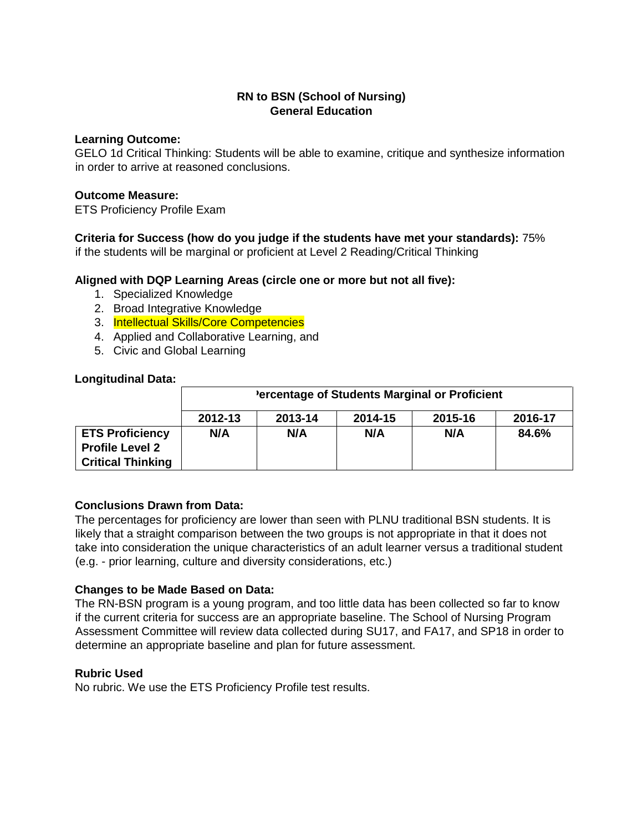# **RN to BSN (School of Nursing) General Education**

### **Learning Outcome:**

GELO 1d Critical Thinking: Students will be able to examine, critique and synthesize information in order to arrive at reasoned conclusions.

#### **Outcome Measure:**

ETS Proficiency Profile Exam

**Criteria for Success (how do you judge if the students have met your standards):** 75%

if the students will be marginal or proficient at Level 2 Reading/Critical Thinking

## **Aligned with DQP Learning Areas (circle one or more but not all five):**

- 1. Specialized Knowledge
- 2. Broad Integrative Knowledge
- 3. Intellectual Skills/Core Competencies
- 4. Applied and Collaborative Learning, and
- 5. Civic and Global Learning

### **Longitudinal Data:**

|                                                                              | 'ercentage of Students Marginal or Proficient |         |         |         |         |
|------------------------------------------------------------------------------|-----------------------------------------------|---------|---------|---------|---------|
|                                                                              | 2012-13                                       | 2013-14 | 2014-15 | 2015-16 | 2016-17 |
| <b>ETS Proficiency</b><br><b>Profile Level 2</b><br><b>Critical Thinking</b> | N/A                                           | N/A     | N/A     | N/A     | 84.6%   |

## **Conclusions Drawn from Data:**

The percentages for proficiency are lower than seen with PLNU traditional BSN students. It is likely that a straight comparison between the two groups is not appropriate in that it does not take into consideration the unique characteristics of an adult learner versus a traditional student (e.g. - prior learning, culture and diversity considerations, etc.)

## **Changes to be Made Based on Data:**

The RN-BSN program is a young program, and too little data has been collected so far to know if the current criteria for success are an appropriate baseline. The School of Nursing Program Assessment Committee will review data collected during SU17, and FA17, and SP18 in order to determine an appropriate baseline and plan for future assessment.

## **Rubric Used**

No rubric. We use the ETS Proficiency Profile test results.